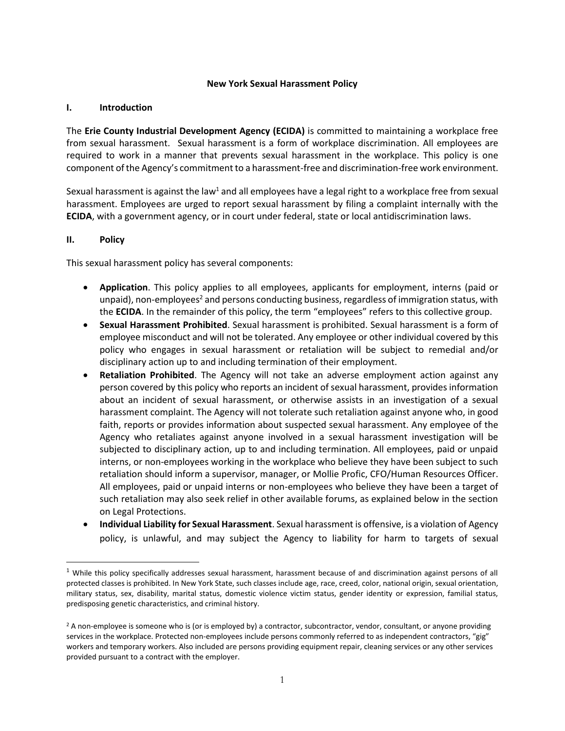#### **New York Sexual Harassment Policy**

#### **I. Introduction**

The **Erie County Industrial Development Agency (ECIDA)** is committed to maintaining a workplace free from sexual harassment. Sexual harassment is a form of workplace discrimination. All employees are required to work in a manner that prevents sexual harassment in the workplace. This policy is one component of the Agency's commitment to a harassment-free and discrimination-free work environment.

Sexual harassment is against the law<sup>1</sup> and all employees have a legal right to a workplace free from sexual harassment. Employees are urged to report sexual harassment by filing a complaint internally with the **ECIDA**, with a government agency, or in court under federal, state or local antidiscrimination laws.

#### **II. Policy**

This sexual harassment policy has several components:

- **Application**. This policy applies to all employees, applicants for employment, interns (paid or unpaid), non-employees<sup>2</sup> and persons conducting business, regardless of immigration status, with the **ECIDA**. In the remainder of this policy, the term "employees" refers to this collective group.
- **Sexual Harassment Prohibited**. Sexual harassment is prohibited. Sexual harassment is a form of employee misconduct and will not be tolerated. Any employee or other individual covered by this policy who engages in sexual harassment or retaliation will be subject to remedial and/or disciplinary action up to and including termination of their employment.
- **Retaliation Prohibited**. The Agency will not take an adverse employment action against any person covered by this policy who reports an incident of sexual harassment, provides information about an incident of sexual harassment, or otherwise assists in an investigation of a sexual harassment complaint. The Agency will not tolerate such retaliation against anyone who, in good faith, reports or provides information about suspected sexual harassment. Any employee of the Agency who retaliates against anyone involved in a sexual harassment investigation will be subjected to disciplinary action, up to and including termination. All employees, paid or unpaid interns, or non-employees working in the workplace who believe they have been subject to such retaliation should inform a supervisor, manager, or Mollie Profic, CFO/Human Resources Officer. All employees, paid or unpaid interns or non-employees who believe they have been a target of such retaliation may also seek relief in other available forums, as explained below in the section on Legal Protections.
- **Individual Liability for Sexual Harassment**. Sexual harassment is offensive, is a violation of Agency policy, is unlawful, and may subject the Agency to liability for harm to targets of sexual

 $1$  While this policy specifically addresses sexual harassment, harassment because of and discrimination against persons of all protected classes is prohibited. In New York State, such classes include age, race, creed, color, national origin, sexual orientation, military status, sex, disability, marital status, domestic violence victim status, gender identity or expression, familial status, predisposing genetic characteristics, and criminal history.

<sup>&</sup>lt;sup>2</sup> A non-employee is someone who is (or is employed by) a contractor, subcontractor, vendor, consultant, or anyone providing services in the workplace. Protected non-employees include persons commonly referred to as independent contractors, "gig" workers and temporary workers. Also included are persons providing equipment repair, cleaning services or any other services provided pursuant to a contract with the employer.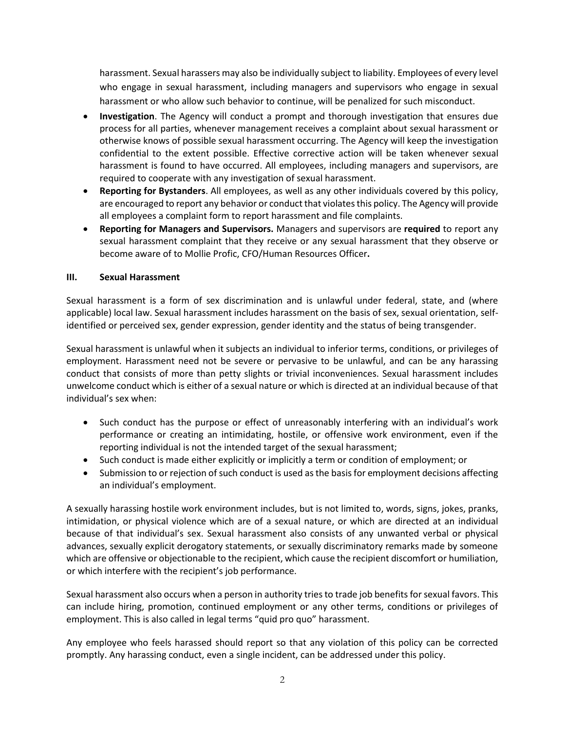harassment. Sexual harassers may also be individually subject to liability. Employees of every level who engage in sexual harassment, including managers and supervisors who engage in sexual harassment or who allow such behavior to continue, will be penalized for such misconduct.

- **Investigation**. The Agency will conduct a prompt and thorough investigation that ensures due process for all parties, whenever management receives a complaint about sexual harassment or otherwise knows of possible sexual harassment occurring. The Agency will keep the investigation confidential to the extent possible. Effective corrective action will be taken whenever sexual harassment is found to have occurred. All employees, including managers and supervisors, are required to cooperate with any investigation of sexual harassment.
- **Reporting for Bystanders**. All employees, as well as any other individuals covered by this policy, are encouraged to report any behavior or conduct that violates this policy. The Agency will provide all employees a complaint form to report harassment and file complaints.
- **Reporting for Managers and Supervisors.** Managers and supervisors are **required** to report any sexual harassment complaint that they receive or any sexual harassment that they observe or become aware of to Mollie Profic, CFO/Human Resources Officer**.**

## **III. Sexual Harassment**

Sexual harassment is a form of sex discrimination and is unlawful under federal, state, and (where applicable) local law. Sexual harassment includes harassment on the basis of sex, sexual orientation, selfidentified or perceived sex, gender expression, gender identity and the status of being transgender.

Sexual harassment is unlawful when it subjects an individual to inferior terms, conditions, or privileges of employment. Harassment need not be severe or pervasive to be unlawful, and can be any harassing conduct that consists of more than petty slights or trivial inconveniences. Sexual harassment includes unwelcome conduct which is either of a sexual nature or which is directed at an individual because of that individual's sex when:

- Such conduct has the purpose or effect of unreasonably interfering with an individual's work performance or creating an intimidating, hostile, or offensive work environment, even if the reporting individual is not the intended target of the sexual harassment;
- Such conduct is made either explicitly or implicitly a term or condition of employment; or
- Submission to or rejection of such conduct is used as the basis for employment decisions affecting an individual's employment.

A sexually harassing hostile work environment includes, but is not limited to, words, signs, jokes, pranks, intimidation, or physical violence which are of a sexual nature, or which are directed at an individual because of that individual's sex. Sexual harassment also consists of any unwanted verbal or physical advances, sexually explicit derogatory statements, or sexually discriminatory remarks made by someone which are offensive or objectionable to the recipient, which cause the recipient discomfort or humiliation, or which interfere with the recipient's job performance.

Sexual harassment also occurs when a person in authority tries to trade job benefits for sexual favors. This can include hiring, promotion, continued employment or any other terms, conditions or privileges of employment. This is also called in legal terms "quid pro quo" harassment.

Any employee who feels harassed should report so that any violation of this policy can be corrected promptly. Any harassing conduct, even a single incident, can be addressed under this policy.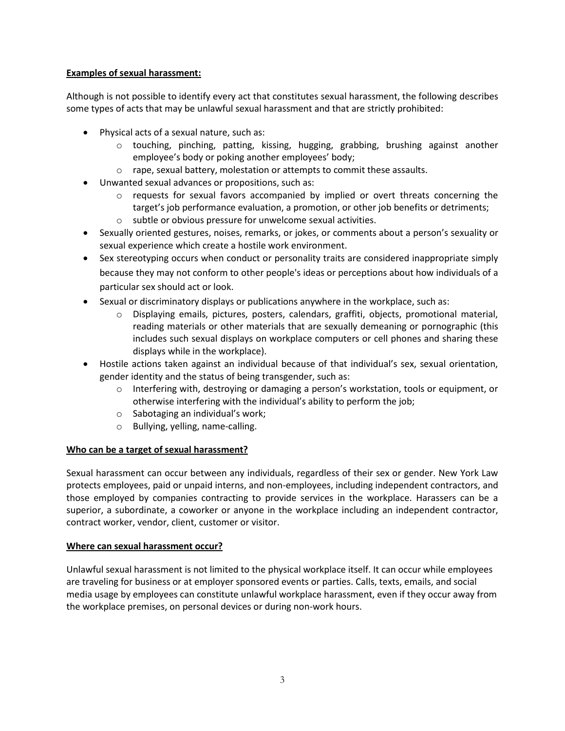## **Examples of sexual harassment:**

Although is not possible to identify every act that constitutes sexual harassment, the following describes some types of acts that may be unlawful sexual harassment and that are strictly prohibited:

- Physical acts of a sexual nature, such as:
	- $\circ$  touching, pinching, patting, kissing, hugging, grabbing, brushing against another employee's body or poking another employees' body;
	- $\circ$  rape, sexual battery, molestation or attempts to commit these assaults.
- Unwanted sexual advances or propositions, such as:
	- o requests for sexual favors accompanied by implied or overt threats concerning the target's job performance evaluation, a promotion, or other job benefits or detriments;
	- o subtle or obvious pressure for unwelcome sexual activities.
- Sexually oriented gestures, noises, remarks, or jokes, or comments about a person's sexuality or sexual experience which create a hostile work environment.
- Sex stereotyping occurs when conduct or personality traits are considered inappropriate simply because they may not conform to other people's ideas or perceptions about how individuals of a particular sex should act or look.
- Sexual or discriminatory displays or publications anywhere in the workplace, such as:
	- o Displaying emails, pictures, posters, calendars, graffiti, objects, promotional material, reading materials or other materials that are sexually demeaning or pornographic (this includes such sexual displays on workplace computers or cell phones and sharing these displays while in the workplace).
- Hostile actions taken against an individual because of that individual's sex, sexual orientation, gender identity and the status of being transgender, such as:
	- $\circ$  Interfering with, destroying or damaging a person's workstation, tools or equipment, or otherwise interfering with the individual's ability to perform the job;
	- o Sabotaging an individual's work;
	- o Bullying, yelling, name-calling.

### **Who can be a target of sexual harassment?**

Sexual harassment can occur between any individuals, regardless of their sex or gender. New York Law protects employees, paid or unpaid interns, and non-employees, including independent contractors, and those employed by companies contracting to provide services in the workplace. Harassers can be a superior, a subordinate, a coworker or anyone in the workplace including an independent contractor, contract worker, vendor, client, customer or visitor.

### **Where can sexual harassment occur?**

Unlawful sexual harassment is not limited to the physical workplace itself. It can occur while employees are traveling for business or at employer sponsored events or parties. Calls, texts, emails, and social media usage by employees can constitute unlawful workplace harassment, even if they occur away from the workplace premises, on personal devices or during non-work hours.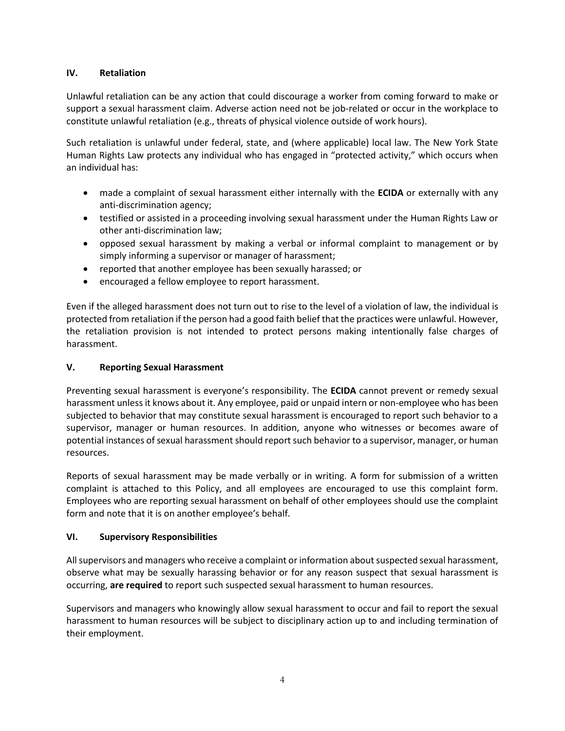## **IV. Retaliation**

Unlawful retaliation can be any action that could discourage a worker from coming forward to make or support a sexual harassment claim. Adverse action need not be job-related or occur in the workplace to constitute unlawful retaliation (e.g., threats of physical violence outside of work hours).

Such retaliation is unlawful under federal, state, and (where applicable) local law. The New York State Human Rights Law protects any individual who has engaged in "protected activity," which occurs when an individual has:

- made a complaint of sexual harassment either internally with the **ECIDA** or externally with any anti-discrimination agency;
- testified or assisted in a proceeding involving sexual harassment under the Human Rights Law or other anti-discrimination law;
- opposed sexual harassment by making a verbal or informal complaint to management or by simply informing a supervisor or manager of harassment;
- reported that another employee has been sexually harassed; or
- encouraged a fellow employee to report harassment.

Even if the alleged harassment does not turn out to rise to the level of a violation of law, the individual is protected from retaliation if the person had a good faith belief that the practices were unlawful. However, the retaliation provision is not intended to protect persons making intentionally false charges of harassment.

## **V. Reporting Sexual Harassment**

Preventing sexual harassment is everyone's responsibility. The **ECIDA** cannot prevent or remedy sexual harassment unless it knows about it. Any employee, paid or unpaid intern or non-employee who has been subjected to behavior that may constitute sexual harassment is encouraged to report such behavior to a supervisor, manager or human resources. In addition, anyone who witnesses or becomes aware of potential instances of sexual harassment should report such behavior to a supervisor, manager, or human resources.

Reports of sexual harassment may be made verbally or in writing. A form for submission of a written complaint is attached to this Policy, and all employees are encouraged to use this complaint form. Employees who are reporting sexual harassment on behalf of other employees should use the complaint form and note that it is on another employee's behalf.

## **VI. Supervisory Responsibilities**

All supervisors and managers who receive a complaint or information about suspected sexual harassment, observe what may be sexually harassing behavior or for any reason suspect that sexual harassment is occurring, **are required** to report such suspected sexual harassment to human resources.

Supervisors and managers who knowingly allow sexual harassment to occur and fail to report the sexual harassment to human resources will be subject to disciplinary action up to and including termination of their employment.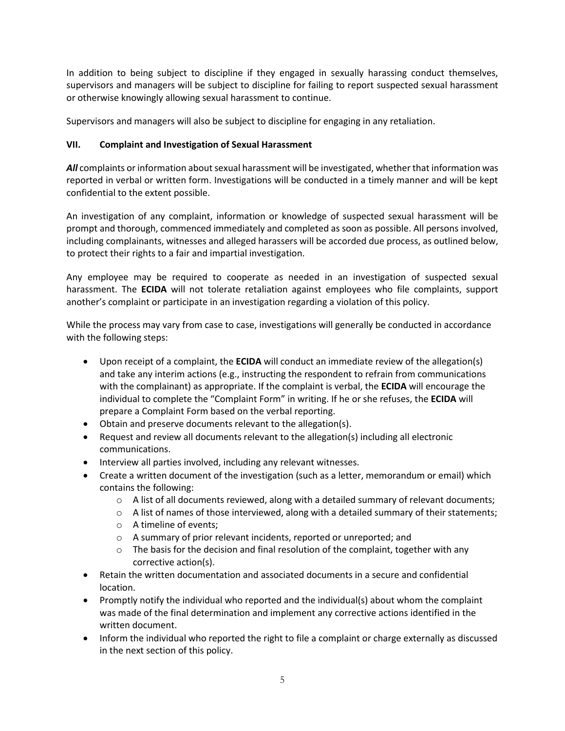In addition to being subject to discipline if they engaged in sexually harassing conduct themselves, supervisors and managers will be subject to discipline for failing to report suspected sexual harassment or otherwise knowingly allowing sexual harassment to continue.

Supervisors and managers will also be subject to discipline for engaging in any retaliation.

## **VII. Complaint and Investigation of Sexual Harassment**

All complaints or information about sexual harassment will be investigated, whether that information was reported in verbal or written form. Investigations will be conducted in a timely manner and will be kept confidential to the extent possible.

An investigation of any complaint, information or knowledge of suspected sexual harassment will be prompt and thorough, commenced immediately and completed as soon as possible. All persons involved, including complainants, witnesses and alleged harassers will be accorded due process, as outlined below, to protect their rights to a fair and impartial investigation.

Any employee may be required to cooperate as needed in an investigation of suspected sexual harassment. The **ECIDA** will not tolerate retaliation against employees who file complaints, support another's complaint or participate in an investigation regarding a violation of this policy.

While the process may vary from case to case, investigations will generally be conducted in accordance with the following steps:

- Upon receipt of a complaint, the **ECIDA** will conduct an immediate review of the allegation(s) and take any interim actions (e.g., instructing the respondent to refrain from communications with the complainant) as appropriate. If the complaint is verbal, the **ECIDA** will encourage the individual to complete the "Complaint Form" in writing. If he or she refuses, the **ECIDA** will prepare a Complaint Form based on the verbal reporting.
- Obtain and preserve documents relevant to the allegation(s).
- Request and review all documents relevant to the allegation(s) including all electronic communications.
- Interview all parties involved, including any relevant witnesses.
- Create a written document of the investigation (such as a letter, memorandum or email) which contains the following:
	- $\circ$  A list of all documents reviewed, along with a detailed summary of relevant documents;
	- $\circ$  A list of names of those interviewed, along with a detailed summary of their statements;
	- o A timeline of events;
	- o A summary of prior relevant incidents, reported or unreported; and
	- $\circ$  The basis for the decision and final resolution of the complaint, together with any corrective action(s).
- Retain the written documentation and associated documents in a secure and confidential location.
- Promptly notify the individual who reported and the individual(s) about whom the complaint was made of the final determination and implement any corrective actions identified in the written document.
- Inform the individual who reported the right to file a complaint or charge externally as discussed in the next section of this policy.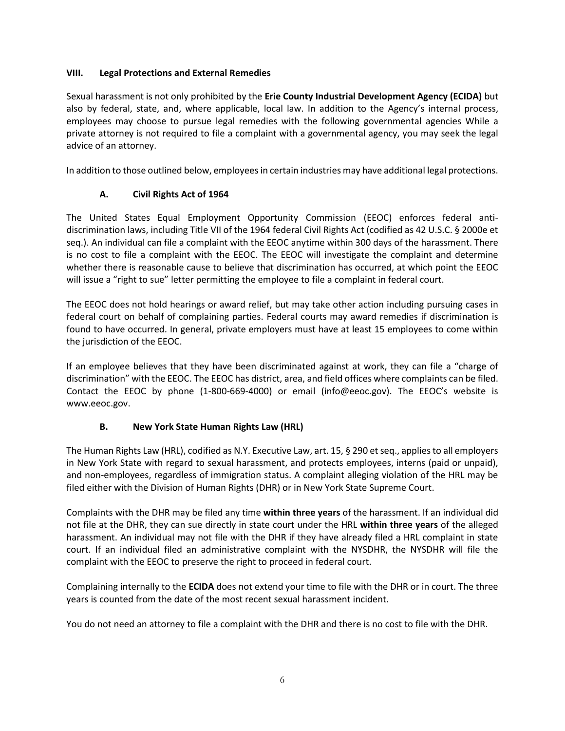## **VIII. Legal Protections and External Remedies**

Sexual harassment is not only prohibited by the **Erie County Industrial Development Agency (ECIDA)** but also by federal, state, and, where applicable, local law. In addition to the Agency's internal process, employees may choose to pursue legal remedies with the following governmental agencies While a private attorney is not required to file a complaint with a governmental agency, you may seek the legal advice of an attorney.

In addition to those outlined below, employees in certain industries may have additional legal protections.

## **A. Civil Rights Act of 1964**

The United States Equal Employment Opportunity Commission (EEOC) enforces federal antidiscrimination laws, including Title VII of the 1964 federal Civil Rights Act (codified as 42 U.S.C. § 2000e et seq.). An individual can file a complaint with the EEOC anytime within 300 days of the harassment. There is no cost to file a complaint with the EEOC. The EEOC will investigate the complaint and determine whether there is reasonable cause to believe that discrimination has occurred, at which point the EEOC will issue a "right to sue" letter permitting the employee to file a complaint in federal court.

The EEOC does not hold hearings or award relief, but may take other action including pursuing cases in federal court on behalf of complaining parties. Federal courts may award remedies if discrimination is found to have occurred. In general, private employers must have at least 15 employees to come within the jurisdiction of the EEOC.

If an employee believes that they have been discriminated against at work, they can file a "charge of discrimination" with the EEOC. The EEOC has district, area, and field offices where complaints can be filed. Contact the EEOC by phone (1-800-669-4000) or email (info@eeoc.gov). The EEOC's website is www.eeoc.gov.

## **B. New York State Human Rights Law (HRL)**

The Human Rights Law (HRL), codified as N.Y. Executive Law, art. 15, § 290 et seq., applies to all employers in New York State with regard to sexual harassment, and protects employees, interns (paid or unpaid), and non-employees, regardless of immigration status. A complaint alleging violation of the HRL may be filed either with the Division of Human Rights (DHR) or in New York State Supreme Court.

Complaints with the DHR may be filed any time **within three years** of the harassment. If an individual did not file at the DHR, they can sue directly in state court under the HRL **within three years** of the alleged harassment. An individual may not file with the DHR if they have already filed a HRL complaint in state court. If an individual filed an administrative complaint with the NYSDHR, the NYSDHR will file the complaint with the EEOC to preserve the right to proceed in federal court.

Complaining internally to the **ECIDA** does not extend your time to file with the DHR or in court. The three years is counted from the date of the most recent sexual harassment incident.

You do not need an attorney to file a complaint with the DHR and there is no cost to file with the DHR.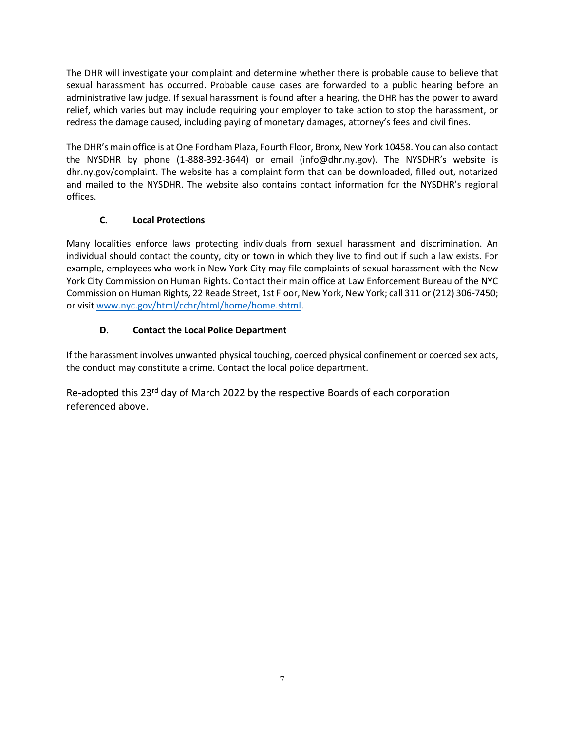The DHR will investigate your complaint and determine whether there is probable cause to believe that sexual harassment has occurred. Probable cause cases are forwarded to a public hearing before an administrative law judge. If sexual harassment is found after a hearing, the DHR has the power to award relief, which varies but may include requiring your employer to take action to stop the harassment, or redress the damage caused, including paying of monetary damages, attorney's fees and civil fines.

The DHR's main office is at One Fordham Plaza, Fourth Floor, Bronx, New York 10458. You can also contact the NYSDHR by phone (1-888-392-3644) or email (info@dhr.ny.gov). The NYSDHR's website is dhr.ny.gov/complaint. The website has a complaint form that can be downloaded, filled out, notarized and mailed to the NYSDHR. The website also contains contact information for the NYSDHR's regional offices.

# **C. Local Protections**

Many localities enforce laws protecting individuals from sexual harassment and discrimination. An individual should contact the county, city or town in which they live to find out if such a law exists. For example, employees who work in New York City may file complaints of sexual harassment with the New York City Commission on Human Rights. Contact their main office at Law Enforcement Bureau of the NYC Commission on Human Rights, 22 Reade Street, 1st Floor, New York, New York; call 311 or (212) 306-7450; or visi[t www.nyc.gov/html/cchr/html/home/home.shtml.](http://www.nyc.gov/html/cchr/html/home/home.shtml)

# **D. Contact the Local Police Department**

If the harassment involves unwanted physical touching, coerced physical confinement or coerced sex acts, the conduct may constitute a crime. Contact the local police department.

Re-adopted this 23rd day of March 2022 by the respective Boards of each corporation referenced above.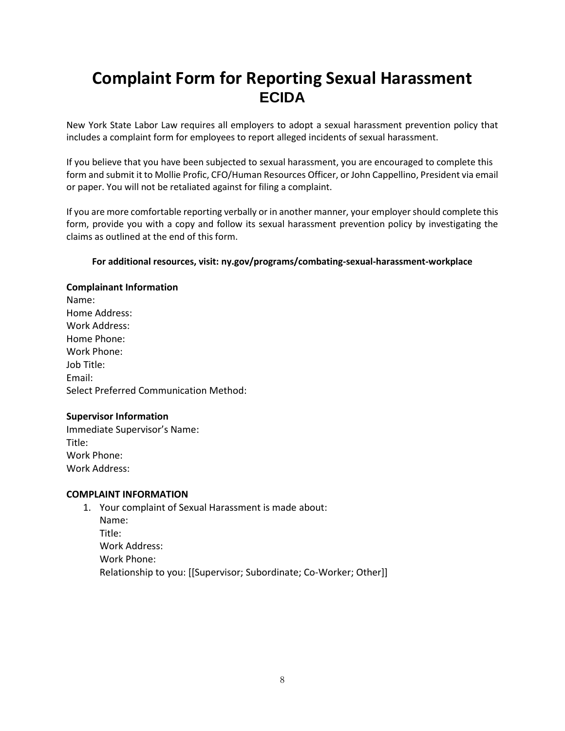# **Complaint Form for Reporting Sexual Harassment ECIDA**

New York State Labor Law requires all employers to adopt a sexual harassment prevention policy that includes a complaint form for employees to report alleged incidents of sexual harassment.

If you believe that you have been subjected to sexual harassment, you are encouraged to complete this form and submit it to Mollie Profic, CFO/Human Resources Officer, or John Cappellino, President via email or paper. You will not be retaliated against for filing a complaint.

If you are more comfortable reporting verbally or in another manner, your employer should complete this form, provide you with a copy and follow its sexual harassment prevention policy by investigating the claims as outlined at the end of this form.

### **For additional resources, visit: ny.gov/programs/combating-sexual-harassment-workplace**

#### **Complainant Information**

Name: Home Address: Work Address: Home Phone: Work Phone: Job Title: Email: Select Preferred Communication Method:

### **Supervisor Information**

Immediate Supervisor's Name: Title: Work Phone: Work Address:

### **COMPLAINT INFORMATION**

1. Your complaint of Sexual Harassment is made about: Name: Title: Work Address: Work Phone: Relationship to you: [[Supervisor; Subordinate; Co-Worker; Other]]